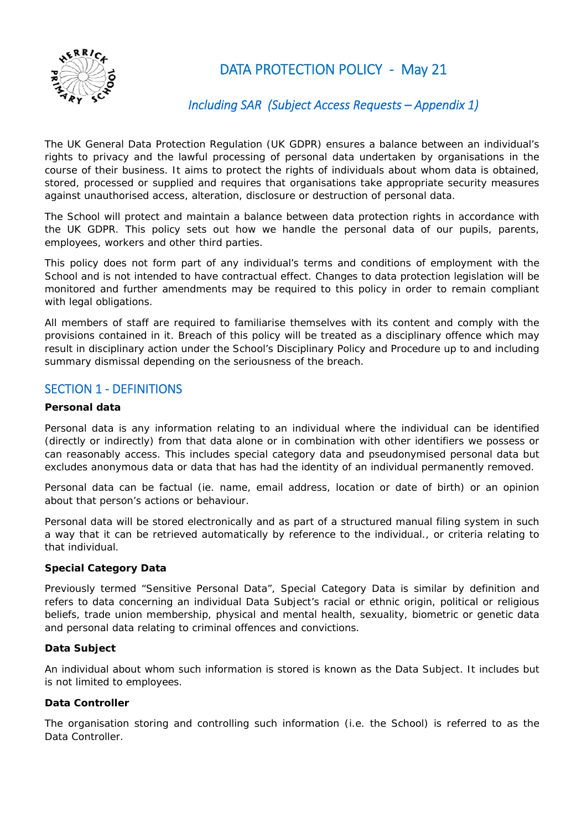

DATA PROTECTION POLICY - May 21

# *Including SAR (Subject Access Requests – Appendix 1)*

The UK General Data Protection Regulation (UK GDPR) ensures a balance between an individual's rights to privacy and the lawful processing of personal data undertaken by organisations in the course of their business. It aims to protect the rights of individuals about whom data is obtained, stored, processed or supplied and requires that organisations take appropriate security measures against unauthorised access, alteration, disclosure or destruction of personal data.

The School will protect and maintain a balance between data protection rights in accordance with the UK GDPR. This policy sets out how we handle the personal data of our pupils, parents, employees, workers and other third parties.

This policy does not form part of any individual's terms and conditions of employment with the School and is not intended to have contractual effect. Changes to data protection legislation will be monitored and further amendments may be required to this policy in order to remain compliant with legal obligations.

All members of staff are required to familiarise themselves with its content and comply with the provisions contained in it. Breach of this policy will be treated as a disciplinary offence which may result in disciplinary action under the School's Disciplinary Policy and Procedure up to and including summary dismissal depending on the seriousness of the breach.

## SECTION 1 ‐ DEFINITIONS

## **Personal data**

Personal data is any information relating to an individual where the individual can be identified (directly or indirectly) from that data alone or in combination with other identifiers we possess or can reasonably access. This includes special category data and pseudonymised personal data but excludes anonymous data or data that has had the identity of an individual permanently removed.

Personal data can be factual (ie. name, email address, location or date of birth) or an opinion about that person's actions or behaviour.

Personal data will be stored electronically and as part of a structured manual filing system in such a way that it can be retrieved automatically by reference to the individual., or criteria relating to that individual.

## **Special Category Data**

Previously termed "Sensitive Personal Data", Special Category Data is similar by definition and refers to data concerning an individual Data Subject's racial or ethnic origin, political or religious beliefs, trade union membership, physical and mental health, sexuality, biometric or genetic data and personal data relating to criminal offences and convictions.

## **Data Subject**

An individual about whom such information is stored is known as the Data Subject. It includes but is not limited to employees.

## **Data Controller**

The organisation storing and controlling such information (i.e. the School) is referred to as the Data Controller.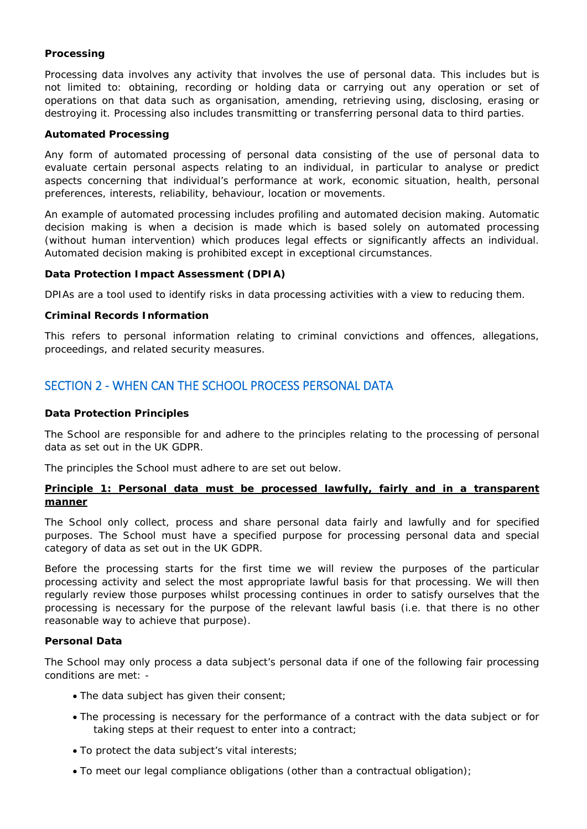## **Processing**

Processing data involves any activity that involves the use of personal data. This includes but is not limited to: obtaining, recording or holding data or carrying out any operation or set of operations on that data such as organisation, amending, retrieving using, disclosing, erasing or destroying it. Processing also includes transmitting or transferring personal data to third parties.

## **Automated Processing**

Any form of automated processing of personal data consisting of the use of personal data to evaluate certain personal aspects relating to an individual, in particular to analyse or predict aspects concerning that individual's performance at work, economic situation, health, personal preferences, interests, reliability, behaviour, location or movements.

An example of automated processing includes profiling and automated decision making. Automatic decision making is when a decision is made which is based solely on automated processing (without human intervention) which produces legal effects or significantly affects an individual. Automated decision making is prohibited except in exceptional circumstances.

#### **Data Protection Impact Assessment (DPIA)**

DPIAs are a tool used to identify risks in data processing activities with a view to reducing them.

#### **Criminal Records Information**

This refers to personal information relating to criminal convictions and offences, allegations, proceedings, and related security measures.

## SECTION 2 - WHEN CAN THE SCHOOL PROCESS PERSONAL DATA

### **Data Protection Principles**

The School are responsible for and adhere to the principles relating to the processing of personal data as set out in the UK GDPR.

The principles the School must adhere to are set out below.

## **Principle 1: Personal data must be processed lawfully, fairly and in a transparent manner**

The School only collect, process and share personal data fairly and lawfully and for specified purposes. The School must have a specified purpose for processing personal data and special category of data as set out in the UK GDPR.

Before the processing starts for the first time we will review the purposes of the particular processing activity and select the most appropriate lawful basis for that processing. We will then regularly review those purposes whilst processing continues in order to satisfy ourselves that the processing is necessary for the purpose of the relevant lawful basis (i.e. that there is no other reasonable way to achieve that purpose).

## **Personal Data**

The School may only process a data subject's personal data if one of the following fair processing conditions are met: -

- The data subject has given their consent;
- The processing is necessary for the performance of a contract with the data subject or for taking steps at their request to enter into a contract;
- To protect the data subject's vital interests;
- To meet our legal compliance obligations (other than a contractual obligation);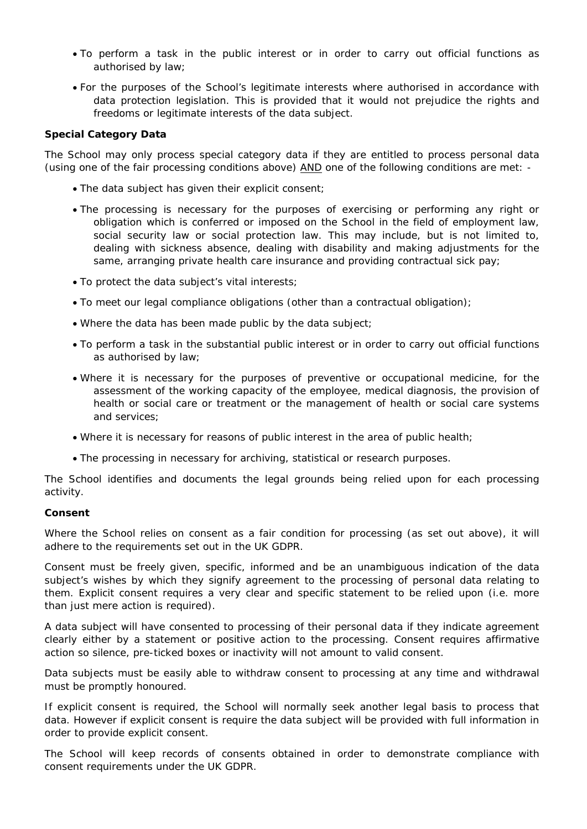- To perform a task in the public interest or in order to carry out official functions as authorised by law;
- For the purposes of the School's legitimate interests where authorised in accordance with data protection legislation. This is provided that it would not prejudice the rights and freedoms or legitimate interests of the data subject.

## **Special Category Data**

The School may only process special category data if they are entitled to process personal data (using one of the fair processing conditions above) AND one of the following conditions are met: -

- The data subject has given their explicit consent;
- The processing is necessary for the purposes of exercising or performing any right or obligation which is conferred or imposed on the School in the field of employment law, social security law or social protection law. This may include, but is not limited to, dealing with sickness absence, dealing with disability and making adjustments for the same, arranging private health care insurance and providing contractual sick pay;
- To protect the data subject's vital interests;
- To meet our legal compliance obligations (other than a contractual obligation);
- Where the data has been made public by the data subject;
- To perform a task in the substantial public interest or in order to carry out official functions as authorised by law;
- Where it is necessary for the purposes of preventive or occupational medicine, for the assessment of the working capacity of the employee, medical diagnosis, the provision of health or social care or treatment or the management of health or social care systems and services;
- Where it is necessary for reasons of public interest in the area of public health;
- The processing in necessary for archiving, statistical or research purposes.

The School identifies and documents the legal grounds being relied upon for each processing activity.

## **Consent**

Where the School relies on consent as a fair condition for processing (as set out above), it will adhere to the requirements set out in the UK GDPR.

Consent must be freely given, specific, informed and be an unambiguous indication of the data subject's wishes by which they signify agreement to the processing of personal data relating to them. Explicit consent requires a very clear and specific statement to be relied upon (i.e. more than just mere action is required).

A data subject will have consented to processing of their personal data if they indicate agreement clearly either by a statement or positive action to the processing. Consent requires affirmative action so silence, pre-ticked boxes or inactivity will not amount to valid consent.

Data subjects must be easily able to withdraw consent to processing at any time and withdrawal must be promptly honoured.

If explicit consent is required, the School will normally seek another legal basis to process that data. However if explicit consent is require the data subject will be provided with full information in order to provide explicit consent.

The School will keep records of consents obtained in order to demonstrate compliance with consent requirements under the UK GDPR.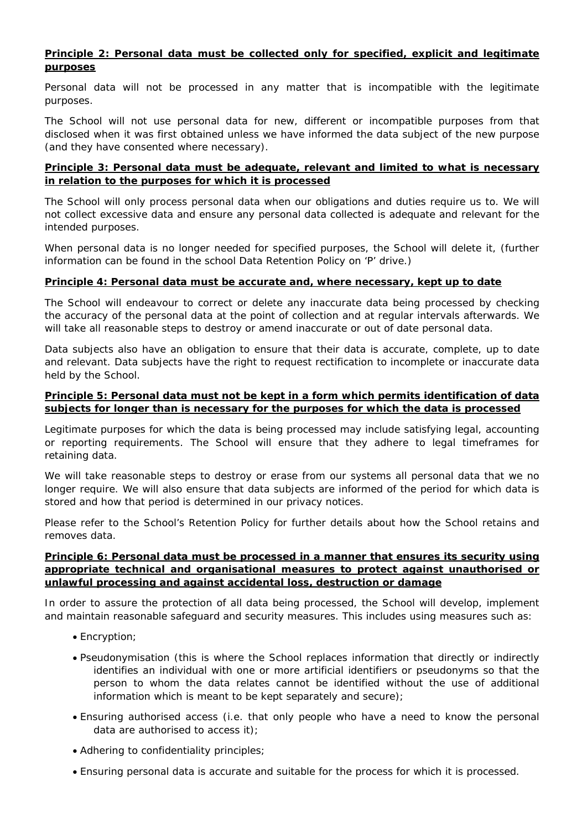## **Principle 2: Personal data must be collected only for specified, explicit and legitimate purposes**

Personal data will not be processed in any matter that is incompatible with the legitimate purposes.

The School will not use personal data for new, different or incompatible purposes from that disclosed when it was first obtained unless we have informed the data subject of the new purpose (and they have consented where necessary).

## **Principle 3: Personal data must be adequate, relevant and limited to what is necessary in relation to the purposes for which it is processed**

The School will only process personal data when our obligations and duties require us to. We will not collect excessive data and ensure any personal data collected is adequate and relevant for the intended purposes.

When personal data is no longer needed for specified purposes, the School will delete it, (further information can be found in the school Data Retention Policy on 'P' drive.)

## **Principle 4: Personal data must be accurate and, where necessary, kept up to date**

The School will endeavour to correct or delete any inaccurate data being processed by checking the accuracy of the personal data at the point of collection and at regular intervals afterwards. We will take all reasonable steps to destroy or amend inaccurate or out of date personal data.

Data subjects also have an obligation to ensure that their data is accurate, complete, up to date and relevant. Data subjects have the right to request rectification to incomplete or inaccurate data held by the School.

## **Principle 5: Personal data must not be kept in a form which permits identification of data subjects for longer than is necessary for the purposes for which the data is processed**

Legitimate purposes for which the data is being processed may include satisfying legal, accounting or reporting requirements. The School will ensure that they adhere to legal timeframes for retaining data.

We will take reasonable steps to destroy or erase from our systems all personal data that we no longer require. We will also ensure that data subjects are informed of the period for which data is stored and how that period is determined in our privacy notices.

Please refer to the School's Retention Policy for further details about how the School retains and removes data.

## **Principle 6: Personal data must be processed in a manner that ensures its security using appropriate technical and organisational measures to protect against unauthorised or unlawful processing and against accidental loss, destruction or damage**

In order to assure the protection of all data being processed, the School will develop, implement and maintain reasonable safeguard and security measures. This includes using measures such as:

- Encryption;
- Pseudonymisation (this is where the School replaces information that directly or indirectly identifies an individual with one or more artificial identifiers or pseudonyms so that the person to whom the data relates cannot be identified without the use of additional information which is meant to be kept separately and secure);
- Ensuring authorised access (i.e. that only people who have a need to know the personal data are authorised to access it);
- Adhering to confidentiality principles;
- Ensuring personal data is accurate and suitable for the process for which it is processed.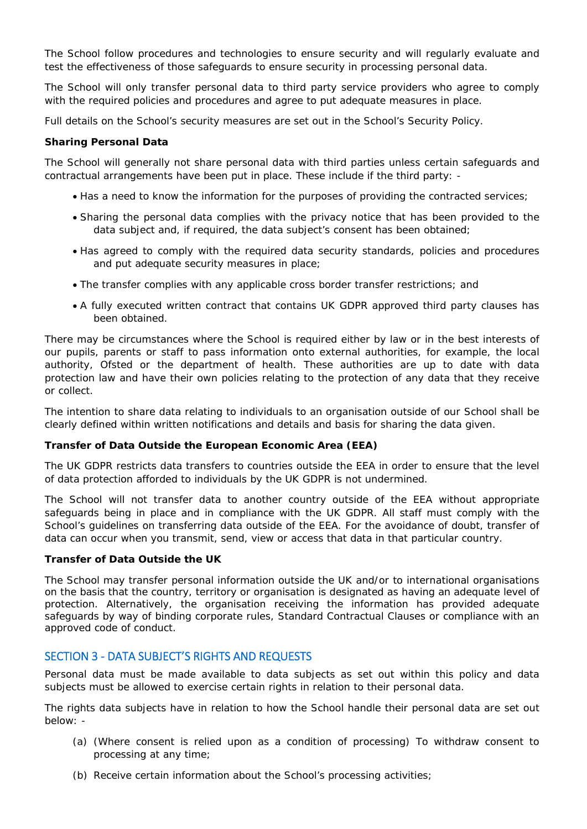The School follow procedures and technologies to ensure security and will regularly evaluate and test the effectiveness of those safeguards to ensure security in processing personal data.

The School will only transfer personal data to third party service providers who agree to comply with the required policies and procedures and agree to put adequate measures in place.

Full details on the School's security measures are set out in the School's Security Policy.

### **Sharing Personal Data**

The School will generally not share personal data with third parties unless certain safeguards and contractual arrangements have been put in place. These include if the third party: -

- Has a need to know the information for the purposes of providing the contracted services;
- Sharing the personal data complies with the privacy notice that has been provided to the data subject and, if required, the data subject's consent has been obtained;
- Has agreed to comply with the required data security standards, policies and procedures and put adequate security measures in place;
- The transfer complies with any applicable cross border transfer restrictions; and
- A fully executed written contract that contains UK GDPR approved third party clauses has been obtained.

There may be circumstances where the School is required either by law or in the best interests of our pupils, parents or staff to pass information onto external authorities, for example, the local authority, Ofsted or the department of health. These authorities are up to date with data protection law and have their own policies relating to the protection of any data that they receive or collect.

The intention to share data relating to individuals to an organisation outside of our School shall be clearly defined within written notifications and details and basis for sharing the data given.

#### **Transfer of Data Outside the European Economic Area (EEA)**

The UK GDPR restricts data transfers to countries outside the EEA in order to ensure that the level of data protection afforded to individuals by the UK GDPR is not undermined.

The School will not transfer data to another country outside of the EEA without appropriate safeguards being in place and in compliance with the UK GDPR. All staff must comply with the School's guidelines on transferring data outside of the EEA. For the avoidance of doubt, transfer of data can occur when you transmit, send, view or access that data in that particular country.

#### **Transfer of Data Outside the UK**

The School may transfer personal information outside the UK and/or to international organisations on the basis that the country, territory or organisation is designated as having an adequate level of protection. Alternatively, the organisation receiving the information has provided adequate safeguards by way of binding corporate rules, Standard Contractual Clauses or compliance with an approved code of conduct.

## SECTION 3 ‐ DATA SUBJECT'S RIGHTS AND REQUESTS

Personal data must be made available to data subjects as set out within this policy and data subjects must be allowed to exercise certain rights in relation to their personal data.

The rights data subjects have in relation to how the School handle their personal data are set out below: -

- (a) (Where consent is relied upon as a condition of processing) To withdraw consent to processing at any time;
- (b) Receive certain information about the School's processing activities;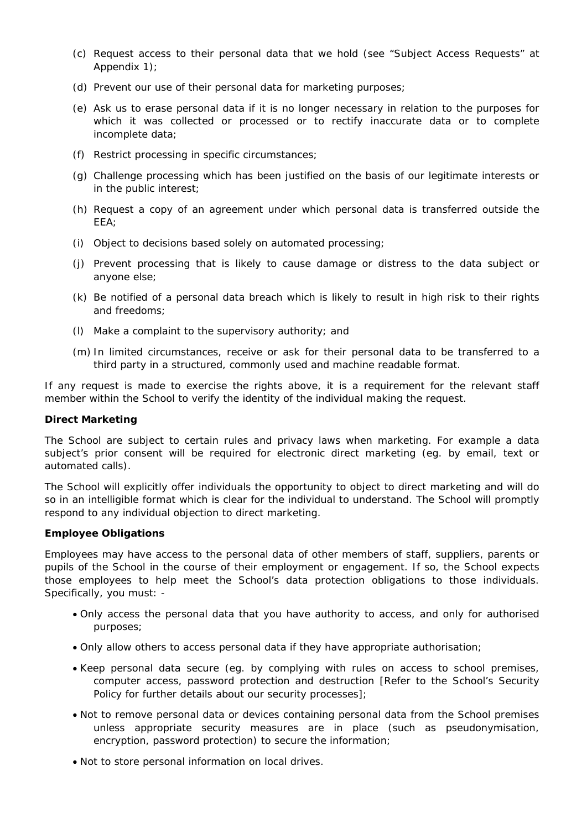- (c) Request access to their personal data that we hold (see "Subject Access Requests" at Appendix 1);
- (d) Prevent our use of their personal data for marketing purposes;
- (e) Ask us to erase personal data if it is no longer necessary in relation to the purposes for which it was collected or processed or to rectify inaccurate data or to complete incomplete data;
- (f) Restrict processing in specific circumstances;
- (g) Challenge processing which has been justified on the basis of our legitimate interests or in the public interest;
- (h) Request a copy of an agreement under which personal data is transferred outside the EEA;
- (i) Object to decisions based solely on automated processing;
- (j) Prevent processing that is likely to cause damage or distress to the data subject or anyone else;
- (k) Be notified of a personal data breach which is likely to result in high risk to their rights and freedoms;
- (l) Make a complaint to the supervisory authority; and
- (m) In limited circumstances, receive or ask for their personal data to be transferred to a third party in a structured, commonly used and machine readable format.

If any request is made to exercise the rights above, it is a requirement for the relevant staff member within the School to verify the identity of the individual making the request.

## **Direct Marketing**

The School are subject to certain rules and privacy laws when marketing. For example a data subject's prior consent will be required for electronic direct marketing (eg. by email, text or automated calls).

The School will explicitly offer individuals the opportunity to object to direct marketing and will do so in an intelligible format which is clear for the individual to understand. The School will promptly respond to any individual objection to direct marketing.

## **Employee Obligations**

Employees may have access to the personal data of other members of staff, suppliers, parents or pupils of the School in the course of their employment or engagement. If so, the School expects those employees to help meet the School's data protection obligations to those individuals. Specifically, you must: -

- Only access the personal data that you have authority to access, and only for authorised purposes;
- Only allow others to access personal data if they have appropriate authorisation;
- Keep personal data secure (eg. by complying with rules on access to school premises, computer access, password protection and destruction [Refer to the School's Security Policy for further details about our security processes];
- Not to remove personal data or devices containing personal data from the School premises unless appropriate security measures are in place (such as pseudonymisation, encryption, password protection) to secure the information;
- Not to store personal information on local drives.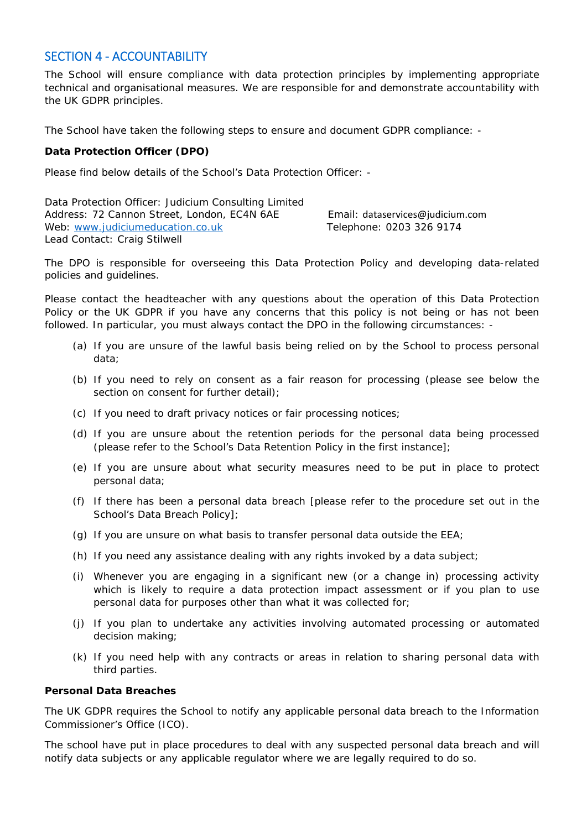## SECTION 4 ‐ ACCOUNTABILITY

The School will ensure compliance with data protection principles by implementing appropriate technical and organisational measures. We are responsible for and demonstrate accountability with the UK GDPR principles.

The School have taken the following steps to ensure and document GDPR compliance: -

## **Data Protection Officer (DPO)**

Please find below details of the School's Data Protection Officer: -

Data Protection Officer: Judicium Consulting Limited Address: 72 Cannon Street, London, EC4N 6AE Email: [dataservices@judicium.com](mailto:dataservices@judicium.com) Web: [www.judiciumeducation.co.uk](http://www.judiciumeducation.co.uk/) Telephone: 0203 326 9174 Lead Contact: Craig Stilwell

The DPO is responsible for overseeing this Data Protection Policy and developing data-related policies and guidelines.

Please contact the headteacher with any questions about the operation of this Data Protection Policy or the UK GDPR if you have any concerns that this policy is not being or has not been followed. In particular, you must always contact the DPO in the following circumstances: -

- (a) If you are unsure of the lawful basis being relied on by the School to process personal data;
- (b) If you need to rely on consent as a fair reason for processing (please see below the section on consent for further detail);
- (c) If you need to draft privacy notices or fair processing notices;
- (d) If you are unsure about the retention periods for the personal data being processed (please refer to the School's Data Retention Policy in the first instance];
- (e) If you are unsure about what security measures need to be put in place to protect personal data;
- (f) If there has been a personal data breach [please refer to the procedure set out in the School's Data Breach Policy];
- (g) If you are unsure on what basis to transfer personal data outside the EEA;
- (h) If you need any assistance dealing with any rights invoked by a data subject;
- (i) Whenever you are engaging in a significant new (or a change in) processing activity which is likely to require a data protection impact assessment or if you plan to use personal data for purposes other than what it was collected for;
- (j) If you plan to undertake any activities involving automated processing or automated decision making;
- (k) If you need help with any contracts or areas in relation to sharing personal data with third parties.

#### **Personal Data Breaches**

The UK GDPR requires the School to notify any applicable personal data breach to the Information Commissioner's Office (ICO).

The school have put in place procedures to deal with any suspected personal data breach and will notify data subjects or any applicable regulator where we are legally required to do so.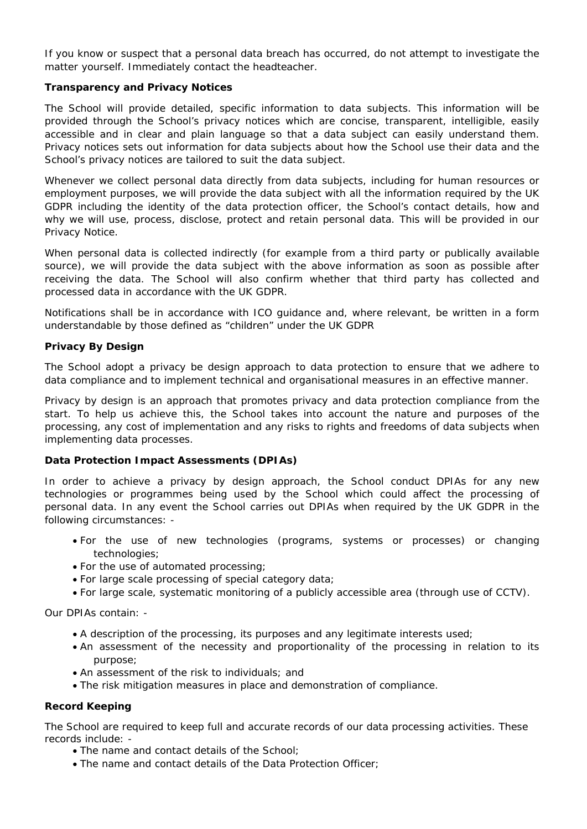If you know or suspect that a personal data breach has occurred, do not attempt to investigate the matter yourself. Immediately contact the headteacher.

## **Transparency and Privacy Notices**

The School will provide detailed, specific information to data subjects. This information will be provided through the School's privacy notices which are concise, transparent, intelligible, easily accessible and in clear and plain language so that a data subject can easily understand them. Privacy notices sets out information for data subjects about how the School use their data and the School's privacy notices are tailored to suit the data subject.

Whenever we collect personal data directly from data subjects, including for human resources or employment purposes, we will provide the data subject with all the information required by the UK GDPR including the identity of the data protection officer, the School's contact details, how and why we will use, process, disclose, protect and retain personal data. This will be provided in our Privacy Notice.

When personal data is collected indirectly (for example from a third party or publically available source), we will provide the data subject with the above information as soon as possible after receiving the data. The School will also confirm whether that third party has collected and processed data in accordance with the UK GDPR.

Notifications shall be in accordance with ICO guidance and, where relevant, be written in a form understandable by those defined as "children" under the UK GDPR

#### **Privacy By Design**

The School adopt a privacy be design approach to data protection to ensure that we adhere to data compliance and to implement technical and organisational measures in an effective manner.

Privacy by design is an approach that promotes privacy and data protection compliance from the start. To help us achieve this, the School takes into account the nature and purposes of the processing, any cost of implementation and any risks to rights and freedoms of data subjects when implementing data processes.

## **Data Protection Impact Assessments (DPIAs)**

In order to achieve a privacy by design approach, the School conduct DPIAs for any new technologies or programmes being used by the School which could affect the processing of personal data. In any event the School carries out DPIAs when required by the UK GDPR in the following circumstances: -

- For the use of new technologies (programs, systems or processes) or changing technologies;
- For the use of automated processing;
- For large scale processing of special category data;
- For large scale, systematic monitoring of a publicly accessible area (through use of CCTV).

Our DPIAs contain: -

- A description of the processing, its purposes and any legitimate interests used;
- An assessment of the necessity and proportionality of the processing in relation to its purpose;
- An assessment of the risk to individuals; and
- The risk mitigation measures in place and demonstration of compliance.

#### **Record Keeping**

The School are required to keep full and accurate records of our data processing activities. These records include: -

- The name and contact details of the School;
- The name and contact details of the Data Protection Officer;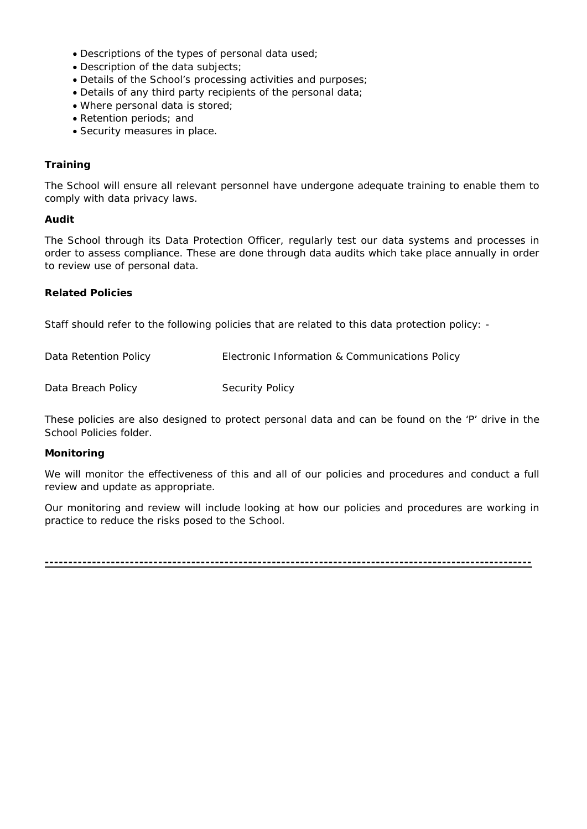- Descriptions of the types of personal data used;
- Description of the data subjects;
- Details of the School's processing activities and purposes;
- Details of any third party recipients of the personal data;
- Where personal data is stored;
- Retention periods; and
- Security measures in place.

## **Training**

The School will ensure all relevant personnel have undergone adequate training to enable them to comply with data privacy laws.

## **Audit**

The School through its Data Protection Officer, regularly test our data systems and processes in order to assess compliance. These are done through data audits which take place annually in order to review use of personal data.

## **Related Policies**

Staff should refer to the following policies that are related to this data protection policy: -

| Electronic Information & Communications Policy |
|------------------------------------------------|
|                                                |
|                                                |

These policies are also designed to protect personal data and can be found on the 'P' drive in the School Policies folder.

## **Monitoring**

We will monitor the effectiveness of this and all of our policies and procedures and conduct a full review and update as appropriate.

Our monitoring and review will include looking at how our policies and procedures are working in practice to reduce the risks posed to the School.

**-------------------------------------------------------------------------------------------------------**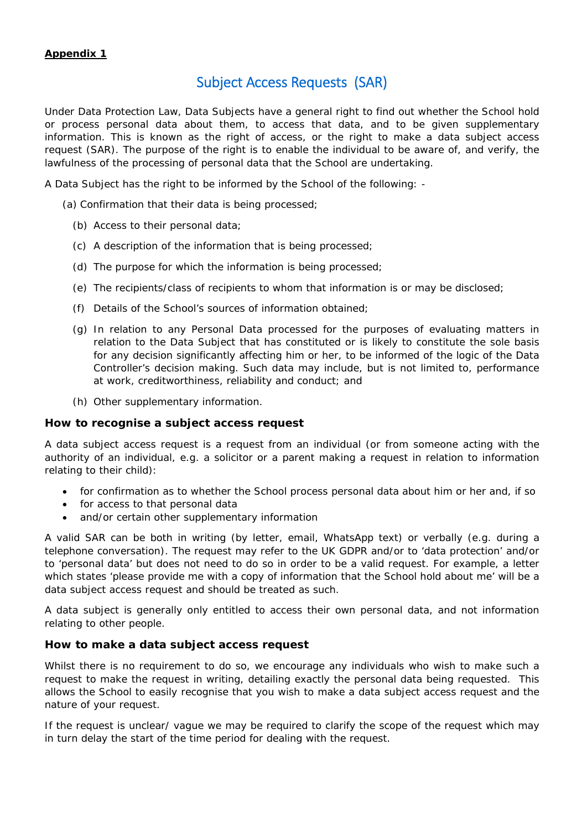# Subject Access Requests (SAR)

Under Data Protection Law, Data Subjects have a general right to find out whether the School hold or process personal data about them, to access that data, and to be given supplementary information. This is known as the right of access, or the right to make a data subject access request (SAR). The purpose of the right is to enable the individual to be aware of, and verify, the lawfulness of the processing of personal data that the School are undertaking.

A Data Subject has the right to be informed by the School of the following: -

(a) Confirmation that their data is being processed;

- (b) Access to their personal data;
- (c) A description of the information that is being processed;
- (d) The purpose for which the information is being processed;
- (e) The recipients/class of recipients to whom that information is or may be disclosed;
- (f) Details of the School's sources of information obtained;
- (g) In relation to any Personal Data processed for the purposes of evaluating matters in relation to the Data Subject that has constituted or is likely to constitute the sole basis for any decision significantly affecting him or her, to be informed of the logic of the Data Controller's decision making. Such data may include, but is not limited to, performance at work, creditworthiness, reliability and conduct; and
- (h) Other supplementary information.

## **How to recognise a subject access request**

A data subject access request is a request from an individual (or from someone acting with the authority of an individual, e.g. a solicitor or a parent making a request in relation to information relating to their child):

- for confirmation as to whether the School process personal data about him or her and, if so
- for access to that personal data
- and/or certain other supplementary information

A valid SAR can be both in writing (by letter, email, WhatsApp text) or verbally (e.g. during a telephone conversation). The request may refer to the UK GDPR and/or to 'data protection' and/or to 'personal data' but does not need to do so in order to be a valid request. For example, a letter which states 'please provide me with a copy of information that the School hold about me' will be a data subject access request and should be treated as such.

A data subject is generally only entitled to access their own personal data, and not information relating to other people.

## **How to make a data subject access request**

Whilst there is no requirement to do so, we encourage any individuals who wish to make such a request to make the request in writing, detailing exactly the personal data being requested. This allows the School to easily recognise that you wish to make a data subject access request and the nature of your request.

If the request is unclear/ vague we may be required to clarify the scope of the request which may in turn delay the start of the time period for dealing with the request.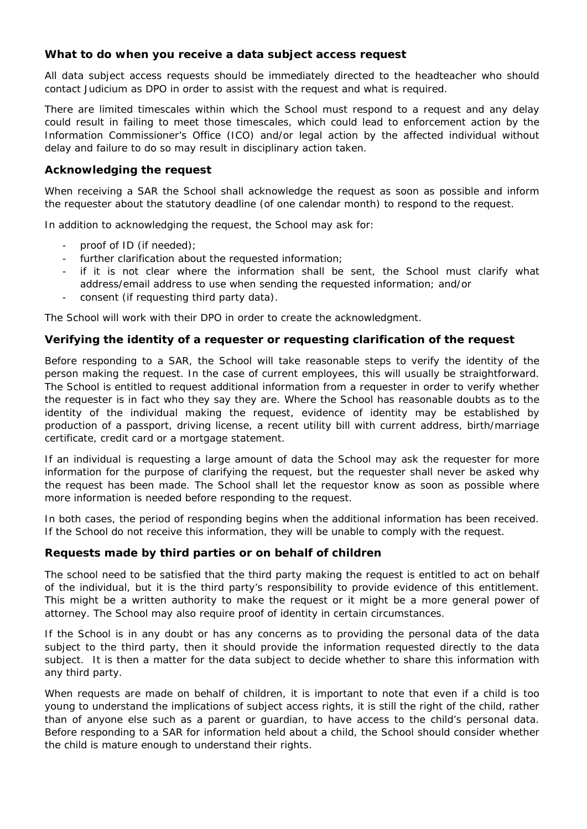## **What to do when you receive a data subject access request**

All data subject access requests should be immediately directed to the headteacher who should contact Judicium as DPO in order to assist with the request and what is required.

There are limited timescales within which the School must respond to a request and any delay could result in failing to meet those timescales, which could lead to enforcement action by the Information Commissioner's Office (ICO) and/or legal action by the affected individual without delay and failure to do so may result in disciplinary action taken.

## **Acknowledging the request**

When receiving a SAR the School shall acknowledge the request as soon as possible and inform the requester about the statutory deadline (of one calendar month) to respond to the request.

In addition to acknowledging the request, the School may ask for:

- proof of ID (if needed);
- further clarification about the requested information;
- if it is not clear where the information shall be sent, the School must clarify what address/email address to use when sending the requested information; and/or
- consent (if requesting third party data).

The School will work with their DPO in order to create the acknowledgment.

## **Verifying the identity of a requester or requesting clarification of the request**

Before responding to a SAR, the School will take reasonable steps to verify the identity of the person making the request. In the case of current employees, this will usually be straightforward. The School is entitled to request additional information from a requester in order to verify whether the requester is in fact who they say they are. Where the School has reasonable doubts as to the identity of the individual making the request, evidence of identity may be established by production of a passport, driving license, a recent utility bill with current address, birth/marriage certificate, credit card or a mortgage statement.

If an individual is requesting a large amount of data the School may ask the requester for more information for the purpose of clarifying the request, but the requester shall never be asked why the request has been made. The School shall let the requestor know as soon as possible where more information is needed before responding to the request.

In both cases, the period of responding begins when the additional information has been received. If the School do not receive this information, they will be unable to comply with the request.

## **Requests made by third parties or on behalf of children**

The school need to be satisfied that the third party making the request is entitled to act on behalf of the individual, but it is the third party's responsibility to provide evidence of this entitlement. This might be a written authority to make the request or it might be a more general power of attorney. The School may also require proof of identity in certain circumstances.

If the School is in any doubt or has any concerns as to providing the personal data of the data subject to the third party, then it should provide the information requested directly to the data subject. It is then a matter for the data subject to decide whether to share this information with any third party.

When requests are made on behalf of children, it is important to note that even if a child is too young to understand the implications of subject access rights, it is still the right of the child, rather than of anyone else such as a parent or guardian, to have access to the child's personal data. Before responding to a SAR for information held about a child, the School should consider whether the child is mature enough to understand their rights.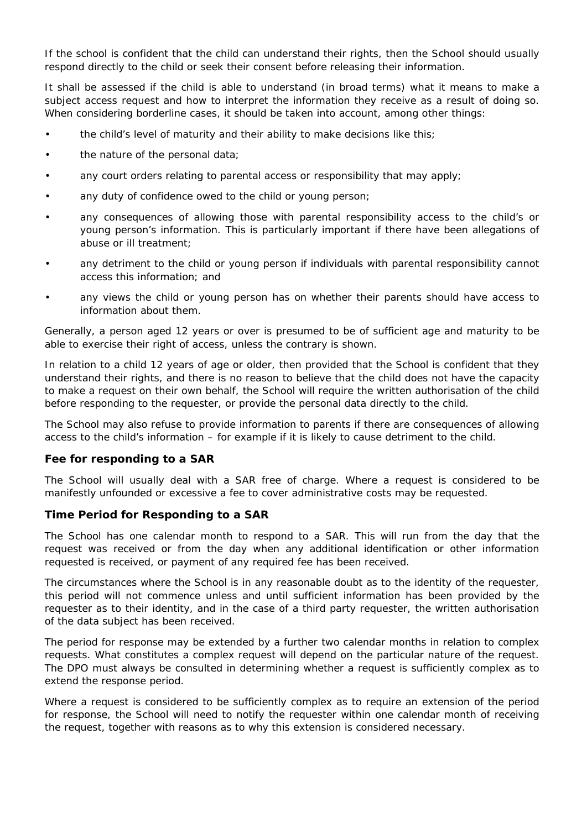If the school is confident that the child can understand their rights, then the School should usually respond directly to the child or seek their consent before releasing their information.

It shall be assessed if the child is able to understand (in broad terms) what it means to make a subject access request and how to interpret the information they receive as a result of doing so. When considering borderline cases, it should be taken into account, among other things:

- the child's level of maturity and their ability to make decisions like this;
- the nature of the personal data;
- any court orders relating to parental access or responsibility that may apply;
- any duty of confidence owed to the child or young person;
- any consequences of allowing those with parental responsibility access to the child's or young person's information. This is particularly important if there have been allegations of abuse or ill treatment;
- any detriment to the child or young person if individuals with parental responsibility cannot access this information; and
- any views the child or young person has on whether their parents should have access to information about them.

Generally, a person aged 12 years or over is presumed to be of sufficient age and maturity to be able to exercise their right of access, unless the contrary is shown.

In relation to a child 12 years of age or older, then provided that the School is confident that they understand their rights, and there is no reason to believe that the child does not have the capacity to make a request on their own behalf, the School will require the written authorisation of the child before responding to the requester, or provide the personal data directly to the child.

The School may also refuse to provide information to parents if there are consequences of allowing access to the child's information – for example if it is likely to cause detriment to the child.

## **Fee for responding to a SAR**

The School will usually deal with a SAR free of charge. Where a request is considered to be manifestly unfounded or excessive a fee to cover administrative costs may be requested.

## **Time Period for Responding to a SAR**

The School has one calendar month to respond to a SAR. This will run from the day that the request was received or from the day when any additional identification or other information requested is received, or payment of any required fee has been received.

The circumstances where the School is in any reasonable doubt as to the identity of the requester, this period will not commence unless and until sufficient information has been provided by the requester as to their identity, and in the case of a third party requester, the written authorisation of the data subject has been received.

The period for response may be extended by a further two calendar months in relation to complex requests. What constitutes a complex request will depend on the particular nature of the request. The DPO must always be consulted in determining whether a request is sufficiently complex as to extend the response period.

Where a request is considered to be sufficiently complex as to require an extension of the period for response, the School will need to notify the requester within one calendar month of receiving the request, together with reasons as to why this extension is considered necessary.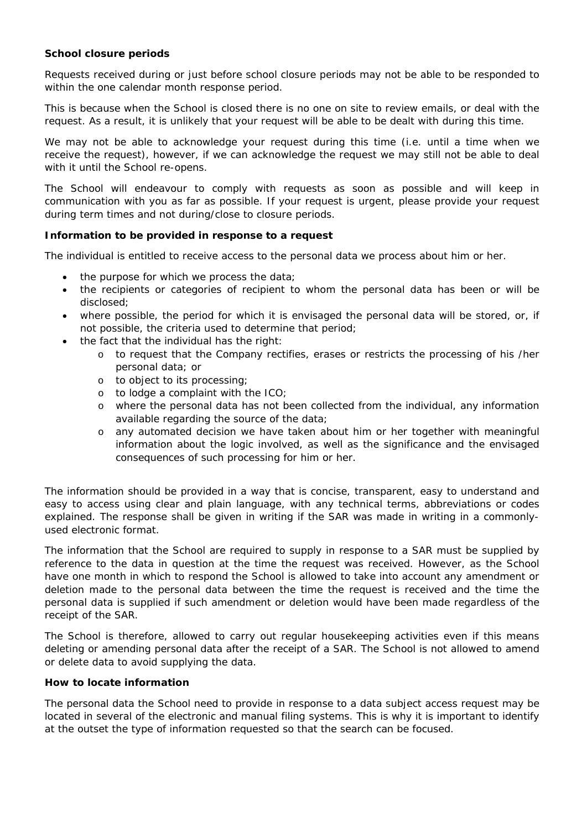## **School closure periods**

Requests received during or just before school closure periods may not be able to be responded to within the one calendar month response period.

This is because when the School is closed there is no one on site to review emails, or deal with the request. As a result, it is unlikely that your request will be able to be dealt with during this time.

We may not be able to acknowledge your request during this time (i.e. until a time when we receive the request), however, if we can acknowledge the request we may still not be able to deal with it until the School re-opens.

The School will endeavour to comply with requests as soon as possible and will keep in communication with you as far as possible. If your request is urgent, please provide your request during term times and not during/close to closure periods.

## **Information to be provided in response to a request**

The individual is entitled to receive access to the personal data we process about him or her.

- the purpose for which we process the data;
- the recipients or categories of recipient to whom the personal data has been or will be disclosed;
- where possible, the period for which it is envisaged the personal data will be stored, or, if not possible, the criteria used to determine that period;
- the fact that the individual has the right:
	- o to request that the Company rectifies, erases or restricts the processing of his /her personal data; or
	- o to object to its processing;
	- o to lodge a complaint with the ICO;
	- o where the personal data has not been collected from the individual, any information available regarding the source of the data;
	- o any automated decision we have taken about him or her together with meaningful information about the logic involved, as well as the significance and the envisaged consequences of such processing for him or her.

The information should be provided in a way that is concise, transparent, easy to understand and easy to access using clear and plain language, with any technical terms, abbreviations or codes explained. The response shall be given in writing if the SAR was made in writing in a commonlyused electronic format.

The information that the School are required to supply in response to a SAR must be supplied by reference to the data in question at the time the request was received. However, as the School have one month in which to respond the School is allowed to take into account any amendment or deletion made to the personal data between the time the request is received and the time the personal data is supplied if such amendment or deletion would have been made regardless of the receipt of the SAR.

The School is therefore, allowed to carry out regular housekeeping activities even if this means deleting or amending personal data after the receipt of a SAR. The School is not allowed to amend or delete data to avoid supplying the data.

## **How to locate information**

The personal data the School need to provide in response to a data subject access request may be located in several of the electronic and manual filing systems. This is why it is important to identify at the outset the type of information requested so that the search can be focused.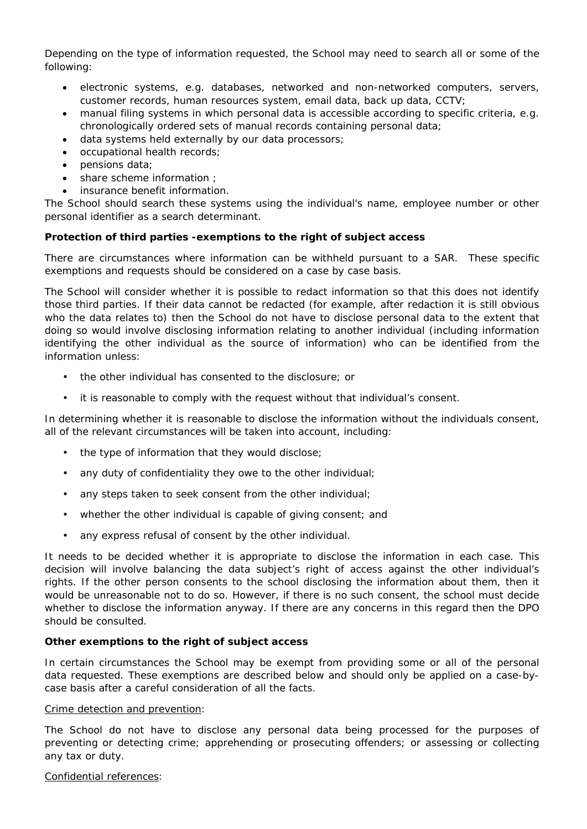Depending on the type of information requested, the School may need to search all or some of the following:

- electronic systems, e.g. databases, networked and non-networked computers, servers, customer records, human resources system, email data, back up data, CCTV;
- manual filing systems in which personal data is accessible according to specific criteria, e.g. chronologically ordered sets of manual records containing personal data;
- data systems held externally by our data processors;
- occupational health records;
- pensions data;
- share scheme information :
- insurance benefit information.

The School should search these systems using the individual's name, employee number or other personal identifier as a search determinant.

## **Protection of third parties -exemptions to the right of subject access**

There are circumstances where information can be withheld pursuant to a SAR. These specific exemptions and requests should be considered on a case by case basis.

The School will consider whether it is possible to redact information so that this does not identify those third parties. If their data cannot be redacted (for example, after redaction it is still obvious who the data relates to) then the School do not have to disclose personal data to the extent that doing so would involve disclosing information relating to another individual (including information identifying the other individual as the source of information) who can be identified from the information unless:

- the other individual has consented to the disclosure; or
- it is reasonable to comply with the request without that individual's consent.

In determining whether it is reasonable to disclose the information without the individuals consent, all of the relevant circumstances will be taken into account, including:

- the type of information that they would disclose;
- any duty of confidentiality they owe to the other individual;
- any steps taken to seek consent from the other individual;
- whether the other individual is capable of giving consent; and
- any express refusal of consent by the other individual.

It needs to be decided whether it is appropriate to disclose the information in each case. This decision will involve balancing the data subject's right of access against the other individual's rights. If the other person consents to the school disclosing the information about them, then it would be unreasonable not to do so. However, if there is no such consent, the school must decide whether to disclose the information anyway. If there are any concerns in this regard then the DPO should be consulted.

## **Other exemptions to the right of subject access**

In certain circumstances the School may be exempt from providing some or all of the personal data requested. These exemptions are described below and should only be applied on a case-bycase basis after a careful consideration of all the facts.

## *Crime detection and prevention*:

The School do not have to disclose any personal data being processed for the purposes of preventing or detecting crime; apprehending or prosecuting offenders; or assessing or collecting any tax or duty.

#### *Confidential references*: